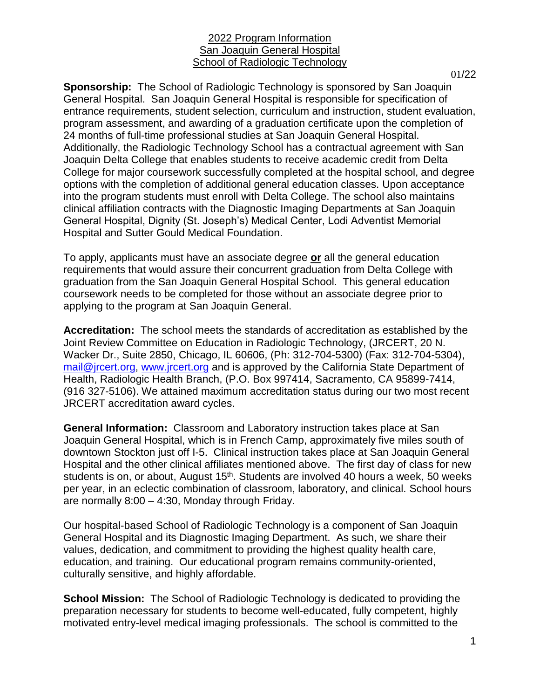## 2022 Program Information San Joaquin General Hospital School of Radiologic Technology

01/22

**Sponsorship:** The School of Radiologic Technology is sponsored by San Joaquin General Hospital. San Joaquin General Hospital is responsible for specification of entrance requirements, student selection, curriculum and instruction, student evaluation, program assessment, and awarding of a graduation certificate upon the completion of 24 months of full-time professional studies at San Joaquin General Hospital. Additionally, the Radiologic Technology School has a contractual agreement with San Joaquin Delta College that enables students to receive academic credit from Delta College for major coursework successfully completed at the hospital school, and degree options with the completion of additional general education classes. Upon acceptance into the program students must enroll with Delta College. The school also maintains clinical affiliation contracts with the Diagnostic Imaging Departments at San Joaquin General Hospital, Dignity (St. Joseph's) Medical Center, Lodi Adventist Memorial Hospital and Sutter Gould Medical Foundation.

To apply, applicants must have an associate degree **or** all the general education requirements that would assure their concurrent graduation from Delta College with graduation from the San Joaquin General Hospital School. This general education coursework needs to be completed for those without an associate degree prior to applying to the program at San Joaquin General.

**Accreditation:** The school meets the standards of accreditation as established by the Joint Review Committee on Education in Radiologic Technology, (JRCERT, 20 N. Wacker Dr., Suite 2850, Chicago, IL 60606, (Ph: 312-704-5300) (Fax: 312-704-5304), [mail@jrcert.org,](mailto:%20mail@jrcert.org) [www.jrcert.org](file:///C:/Users/John/Desktop/WebPage%20Updates/www.jrcert.org) and is approved by the California State Department of Health, Radiologic Health Branch, (P.O. Box 997414, Sacramento, CA 95899-7414, (916 327-5106). We attained maximum accreditation status during our two most recent JRCERT accreditation award cycles.

**General Information:** Classroom and Laboratory instruction takes place at San Joaquin General Hospital, which is in French Camp, approximately five miles south of downtown Stockton just off I-5. Clinical instruction takes place at San Joaquin General Hospital and the other clinical affiliates mentioned above. The first day of class for new students is on, or about, August 15<sup>th</sup>. Students are involved 40 hours a week, 50 weeks per year, in an eclectic combination of classroom, laboratory, and clinical. School hours are normally 8:00 – 4:30, Monday through Friday.

Our hospital-based School of Radiologic Technology is a component of San Joaquin General Hospital and its Diagnostic Imaging Department. As such, we share their values, dedication, and commitment to providing the highest quality health care, education, and training. Our educational program remains community-oriented, culturally sensitive, and highly affordable.

**School Mission:** The School of Radiologic Technology is dedicated to providing the preparation necessary for students to become well-educated, fully competent, highly motivated entry-level medical imaging professionals. The school is committed to the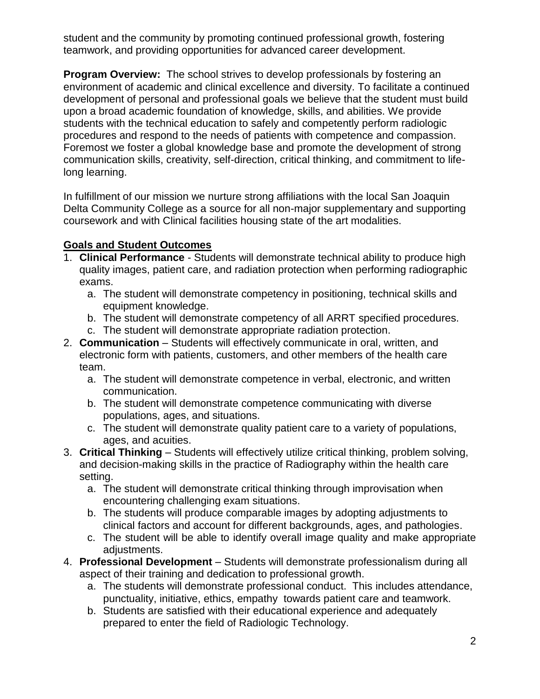student and the community by promoting continued professional growth, fostering teamwork, and providing opportunities for advanced career development.

**Program Overview:** The school strives to develop professionals by fostering an environment of academic and clinical excellence and diversity. To facilitate a continued development of personal and professional goals we believe that the student must build upon a broad academic foundation of knowledge, skills, and abilities. We provide students with the technical education to safely and competently perform radiologic procedures and respond to the needs of patients with competence and compassion. Foremost we foster a global knowledge base and promote the development of strong communication skills, creativity, self-direction, critical thinking, and commitment to lifelong learning.

In fulfillment of our mission we nurture strong affiliations with the local San Joaquin Delta Community College as a source for all non-major supplementary and supporting coursework and with Clinical facilities housing state of the art modalities.

# **Goals and Student Outcomes**

- 1. **Clinical Performance**  Students will demonstrate technical ability to produce high quality images, patient care, and radiation protection when performing radiographic exams.
	- a. The student will demonstrate competency in positioning, technical skills and equipment knowledge.
	- b. The student will demonstrate competency of all ARRT specified procedures.
	- c. The student will demonstrate appropriate radiation protection.
- 2. **Communication**  Students will effectively communicate in oral, written, and electronic form with patients, customers, and other members of the health care team.
	- a. The student will demonstrate competence in verbal, electronic, and written communication.
	- b. The student will demonstrate competence communicating with diverse populations, ages, and situations.
	- c. The student will demonstrate quality patient care to a variety of populations, ages, and acuities.
- 3. **Critical Thinking** Students will effectively utilize critical thinking, problem solving, and decision-making skills in the practice of Radiography within the health care setting.
	- a. The student will demonstrate critical thinking through improvisation when encountering challenging exam situations.
	- b. The students will produce comparable images by adopting adjustments to clinical factors and account for different backgrounds, ages, and pathologies.
	- c. The student will be able to identify overall image quality and make appropriate adiustments.
- 4. **Professional Development**  Students will demonstrate professionalism during all aspect of their training and dedication to professional growth.
	- a. The students will demonstrate professional conduct. This includes attendance, punctuality, initiative, ethics, empathy towards patient care and teamwork.
	- b. Students are satisfied with their educational experience and adequately prepared to enter the field of Radiologic Technology.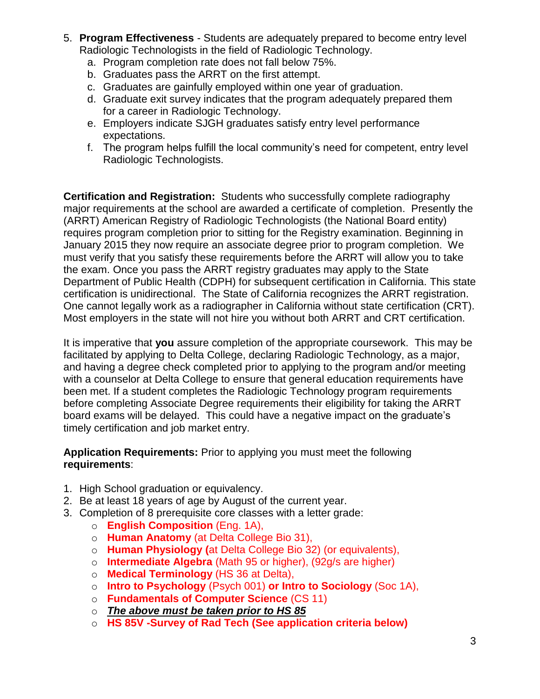- 5. **Program Effectiveness** Students are adequately prepared to become entry level Radiologic Technologists in the field of Radiologic Technology.
	- a. Program completion rate does not fall below 75%.
	- b. Graduates pass the ARRT on the first attempt.
	- c. Graduates are gainfully employed within one year of graduation.
	- d. Graduate exit survey indicates that the program adequately prepared them for a career in Radiologic Technology.
	- e. Employers indicate SJGH graduates satisfy entry level performance expectations.
	- f. The program helps fulfill the local community's need for competent, entry level Radiologic Technologists.

**Certification and Registration:** Students who successfully complete radiography major requirements at the school are awarded a certificate of completion. Presently the (ARRT) American Registry of Radiologic Technologists (the National Board entity) requires program completion prior to sitting for the Registry examination. Beginning in January 2015 they now require an associate degree prior to program completion. We must verify that you satisfy these requirements before the ARRT will allow you to take the exam. Once you pass the ARRT registry graduates may apply to the State Department of Public Health (CDPH) for subsequent certification in California. This state certification is unidirectional. The State of California recognizes the ARRT registration. One cannot legally work as a radiographer in California without state certification (CRT). Most employers in the state will not hire you without both ARRT and CRT certification.

It is imperative that **you** assure completion of the appropriate coursework. This may be facilitated by applying to Delta College, declaring Radiologic Technology, as a major, and having a degree check completed prior to applying to the program and/or meeting with a counselor at Delta College to ensure that general education requirements have been met. If a student completes the Radiologic Technology program requirements before completing Associate Degree requirements their eligibility for taking the ARRT board exams will be delayed. This could have a negative impact on the graduate's timely certification and job market entry.

**Application Requirements:** Prior to applying you must meet the following **requirements**:

- 1. High School graduation or equivalency.
- 2. Be at least 18 years of age by August of the current year.
- 3. Completion of 8 prerequisite core classes with a letter grade:
	- o **English Composition** (Eng. 1A),
	- o **Human Anatomy** (at Delta College Bio 31),
	- o **Human Physiology (**at Delta College Bio 32) (or equivalents),
	- o **Intermediate Algebra** (Math 95 or higher), (92g/s are higher)
	- o **Medical Terminology** (HS 36 at Delta),
	- o **Intro to Psychology** (Psych 001) **or Intro to Sociology** (Soc 1A),
	- o **Fundamentals of Computer Science** (CS 11)
	- o *The above must be taken prior to HS 85*
	- o **HS 85V -Survey of Rad Tech (See application criteria below)**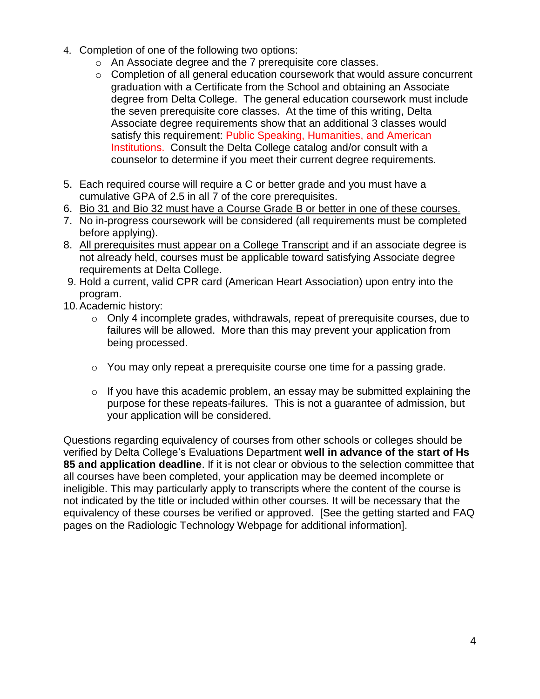- 4. Completion of one of the following two options:
	- o An Associate degree and the 7 prerequisite core classes.
	- o Completion of all general education coursework that would assure concurrent graduation with a Certificate from the School and obtaining an Associate degree from Delta College. The general education coursework must include the seven prerequisite core classes. At the time of this writing, Delta Associate degree requirements show that an additional 3 classes would satisfy this requirement: Public Speaking, Humanities, and American Institutions. Consult the Delta College catalog and/or consult with a counselor to determine if you meet their current degree requirements.
- 5. Each required course will require a C or better grade and you must have a cumulative GPA of 2.5 in all 7 of the core prerequisites.
- 6. Bio 31 and Bio 32 must have a Course Grade B or better in one of these courses.
- 7. No in-progress coursework will be considered (all requirements must be completed before applying).
- 8. All prerequisites must appear on a College Transcript and if an associate degree is not already held, courses must be applicable toward satisfying Associate degree requirements at Delta College.
- 9. Hold a current, valid CPR card (American Heart Association) upon entry into the program.
- 10.Academic history:
	- $\circ$  Only 4 incomplete grades, withdrawals, repeat of prerequisite courses, due to failures will be allowed. More than this may prevent your application from being processed.
	- $\circ$  You may only repeat a prerequisite course one time for a passing grade.
	- $\circ$  If you have this academic problem, an essay may be submitted explaining the purpose for these repeats-failures. This is not a guarantee of admission, but your application will be considered.

Questions regarding equivalency of courses from other schools or colleges should be verified by Delta College's Evaluations Department **well in advance of the start of Hs 85 and application deadline**. If it is not clear or obvious to the selection committee that all courses have been completed, your application may be deemed incomplete or ineligible. This may particularly apply to transcripts where the content of the course is not indicated by the title or included within other courses. It will be necessary that the equivalency of these courses be verified or approved. [See the getting started and FAQ pages on the Radiologic Technology Webpage for additional information].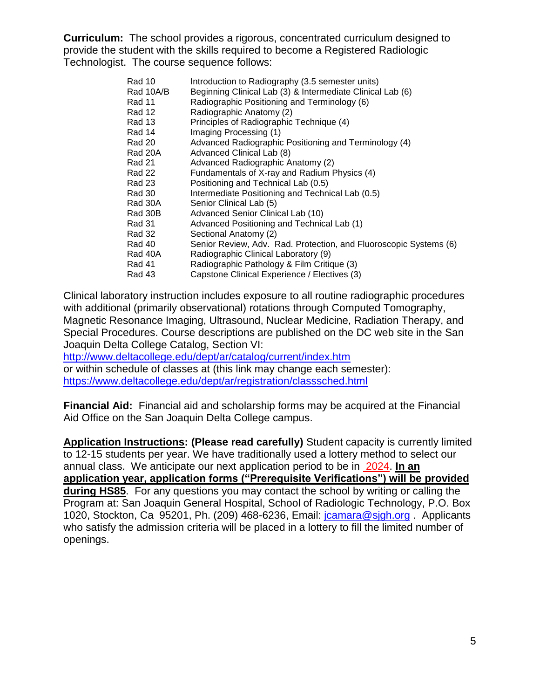**Curriculum:** The school provides a rigorous, concentrated curriculum designed to provide the student with the skills required to become a Registered Radiologic Technologist. The course sequence follows:

| Rad 10    | Introduction to Radiography (3.5 semester units)                  |
|-----------|-------------------------------------------------------------------|
| Rad 10A/B | Beginning Clinical Lab (3) & Intermediate Clinical Lab (6)        |
| Rad 11    | Radiographic Positioning and Terminology (6)                      |
| Rad 12    | Radiographic Anatomy (2)                                          |
| Rad 13    | Principles of Radiographic Technique (4)                          |
| Rad 14    | Imaging Processing (1)                                            |
| Rad 20    | Advanced Radiographic Positioning and Terminology (4)             |
| Rad 20A   | Advanced Clinical Lab (8)                                         |
| Rad 21    | Advanced Radiographic Anatomy (2)                                 |
| Rad 22    | Fundamentals of X-ray and Radium Physics (4)                      |
| Rad 23    | Positioning and Technical Lab (0.5)                               |
| Rad 30    | Intermediate Positioning and Technical Lab (0.5)                  |
| Rad 30A   | Senior Clinical Lab (5)                                           |
| Rad 30B   | Advanced Senior Clinical Lab (10)                                 |
| Rad 31    | Advanced Positioning and Technical Lab (1)                        |
| Rad 32    | Sectional Anatomy (2)                                             |
| Rad 40    | Senior Review, Adv. Rad. Protection, and Fluoroscopic Systems (6) |
| Rad 40A   | Radiographic Clinical Laboratory (9)                              |
| Rad 41    | Radiographic Pathology & Film Critique (3)                        |
| Rad 43    | Capstone Clinical Experience / Electives (3)                      |

Clinical laboratory instruction includes exposure to all routine radiographic procedures with additional (primarily observational) rotations through Computed Tomography, Magnetic Resonance Imaging, Ultrasound, Nuclear Medicine, Radiation Therapy, and Special Procedures. Course descriptions are published on the DC web site in the San Joaquin Delta College Catalog, Section VI:

<http://www.deltacollege.edu/dept/ar/catalog/current/index.htm> or within schedule of classes at (this link may change each semester): <https://www.deltacollege.edu/dept/ar/registration/classsched.html>

**Financial Aid:** Financial aid and scholarship forms may be acquired at the Financial Aid Office on the San Joaquin Delta College campus.

**Application Instructions: (Please read carefully)** Student capacity is currently limited to 12-15 students per year. We have traditionally used a lottery method to select our annual class. We anticipate our next application period to be in 2024. **In an application year, application forms ("Prerequisite Verifications") will be provided during HS85**. For any questions you may contact the school by writing or calling the Program at: San Joaquin General Hospital, School of Radiologic Technology, P.O. Box 1020, Stockton, Ca 95201, Ph. (209) 468-6236, Email: joamara@sjgh.org . Applicants who satisfy the admission criteria will be placed in a lottery to fill the limited number of openings.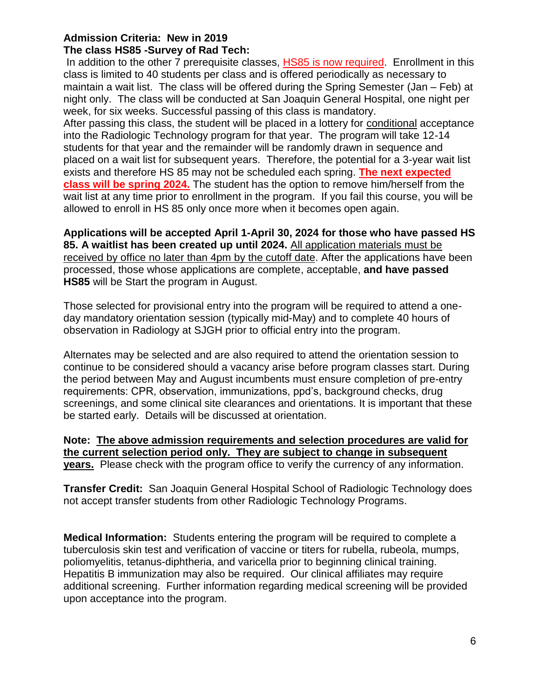### **Admission Criteria: New in 2019 The class HS85 -Survey of Rad Tech:**

In addition to the other 7 prerequisite classes, HS85 is now required. Enrollment in this class is limited to 40 students per class and is offered periodically as necessary to maintain a wait list. The class will be offered during the Spring Semester (Jan – Feb) at night only. The class will be conducted at San Joaquin General Hospital, one night per week, for six weeks. Successful passing of this class is mandatory.

After passing this class, the student will be placed in a lottery for conditional acceptance into the Radiologic Technology program for that year. The program will take 12-14 students for that year and the remainder will be randomly drawn in sequence and placed on a wait list for subsequent years. Therefore, the potential for a 3-year wait list exists and therefore HS 85 may not be scheduled each spring. **The next expected class will be spring 2024.** The student has the option to remove him/herself from the wait list at any time prior to enrollment in the program. If you fail this course, you will be allowed to enroll in HS 85 only once more when it becomes open again.

**Applications will be accepted April 1-April 30, 2024 for those who have passed HS 85. A waitlist has been created up until 2024.** All application materials must be received by office no later than 4pm by the cutoff date. After the applications have been processed, those whose applications are complete, acceptable, **and have passed HS85** will be Start the program in August.

Those selected for provisional entry into the program will be required to attend a oneday mandatory orientation session (typically mid-May) and to complete 40 hours of observation in Radiology at SJGH prior to official entry into the program.

Alternates may be selected and are also required to attend the orientation session to continue to be considered should a vacancy arise before program classes start. During the period between May and August incumbents must ensure completion of pre-entry requirements: CPR, observation, immunizations, ppd's, background checks, drug screenings, and some clinical site clearances and orientations. It is important that these be started early. Details will be discussed at orientation.

**Note: The above admission requirements and selection procedures are valid for the current selection period only. They are subject to change in subsequent years.** Please check with the program office to verify the currency of any information.

**Transfer Credit:** San Joaquin General Hospital School of Radiologic Technology does not accept transfer students from other Radiologic Technology Programs.

**Medical Information:** Students entering the program will be required to complete a tuberculosis skin test and verification of vaccine or titers for rubella, rubeola, mumps, poliomyelitis, tetanus-diphtheria, and varicella prior to beginning clinical training. Hepatitis B immunization may also be required. Our clinical affiliates may require additional screening. Further information regarding medical screening will be provided upon acceptance into the program.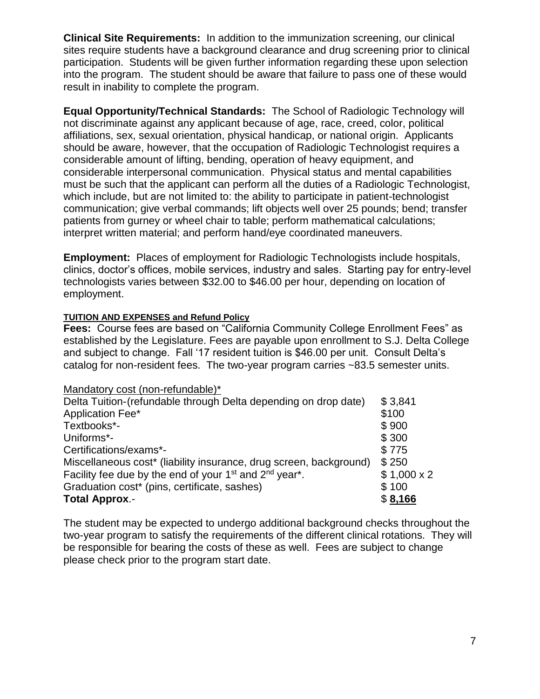**Clinical Site Requirements:** In addition to the immunization screening, our clinical sites require students have a background clearance and drug screening prior to clinical participation. Students will be given further information regarding these upon selection into the program. The student should be aware that failure to pass one of these would result in inability to complete the program.

**Equal Opportunity/Technical Standards:** The School of Radiologic Technology will not discriminate against any applicant because of age, race, creed, color, political affiliations, sex, sexual orientation, physical handicap, or national origin. Applicants should be aware, however, that the occupation of Radiologic Technologist requires a considerable amount of lifting, bending, operation of heavy equipment, and considerable interpersonal communication. Physical status and mental capabilities must be such that the applicant can perform all the duties of a Radiologic Technologist, which include, but are not limited to: the ability to participate in patient-technologist communication; give verbal commands; lift objects well over 25 pounds; bend; transfer patients from gurney or wheel chair to table; perform mathematical calculations; interpret written material; and perform hand/eye coordinated maneuvers.

**Employment:** Places of employment for Radiologic Technologists include hospitals, clinics, doctor's offices, mobile services, industry and sales. Starting pay for entry-level technologists varies between \$32.00 to \$46.00 per hour, depending on location of employment.

## **TUITION AND EXPENSES and Refund Policy**

**Fees:** Course fees are based on "California Community College Enrollment Fees" as established by the Legislature. Fees are payable upon enrollment to S.J. Delta College and subject to change. Fall '17 resident tuition is \$46.00 per unit. Consult Delta's catalog for non-resident fees. The two-year program carries ~83.5 semester units.

#### Mandatory cost (non-refundable)\*

| Delta Tuition-(refundable through Delta depending on drop date)                             | \$3,841           |
|---------------------------------------------------------------------------------------------|-------------------|
| Application Fee*                                                                            | \$100             |
| Textbooks*-                                                                                 | \$900             |
| Uniforms*-                                                                                  | \$300             |
| Certifications/exams*-                                                                      | \$775             |
| Miscellaneous cost* (liability insurance, drug screen, background)                          | \$250             |
| Facility fee due by the end of your 1 <sup>st</sup> and 2 <sup>nd</sup> year <sup>*</sup> . | $$1,000 \times 2$ |
| Graduation cost* (pins, certificate, sashes)                                                | \$100             |
| <b>Total Approx.-</b>                                                                       | \$8,166           |

The student may be expected to undergo additional background checks throughout the two-year program to satisfy the requirements of the different clinical rotations. They will be responsible for bearing the costs of these as well. Fees are subject to change please check prior to the program start date.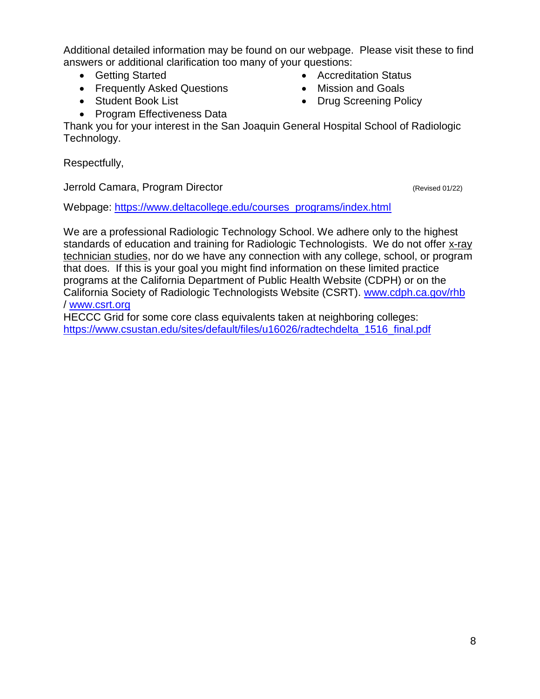Additional detailed information may be found on our webpage. Please visit these to find answers or additional clarification too many of your questions:

- Getting Started
- Frequently Asked Questions
- Student Book List
- Program Effectiveness Data
- Accreditation Status
- Mission and Goals
- Drug Screening Policy
- 

Thank you for your interest in the San Joaquin General Hospital School of Radiologic Technology.

Respectfully,

Jerrold Camara, Program Director (Revised 01/22)

Webpage: [https://www.deltacollege.edu/courses\\_programs/index.html](https://www.deltacollege.edu/courses_programs/index.html)

We are a professional Radiologic Technology School. We adhere only to the highest standards of education and training for Radiologic Technologists. We do not offer x-ray technician studies, nor do we have any connection with any college, school, or program that does. If this is your goal you might find information on these limited practice programs at the California Department of Public Health Website (CDPH) or on the California Society of Radiologic Technologists Website (CSRT). [www.cdph.ca.gov/rhb](http://www.cdph.ca.gov/rhb)  / [www.csrt.org](http://www.csrt.org/)

HECCC Grid for some core class equivalents taken at neighboring colleges: [https://www.csustan.edu/sites/default/files/u16026/radtechdelta\\_1516\\_final.pdf](https://www.csustan.edu/sites/default/files/u16026/radtechdelta_1516_final.pdf)